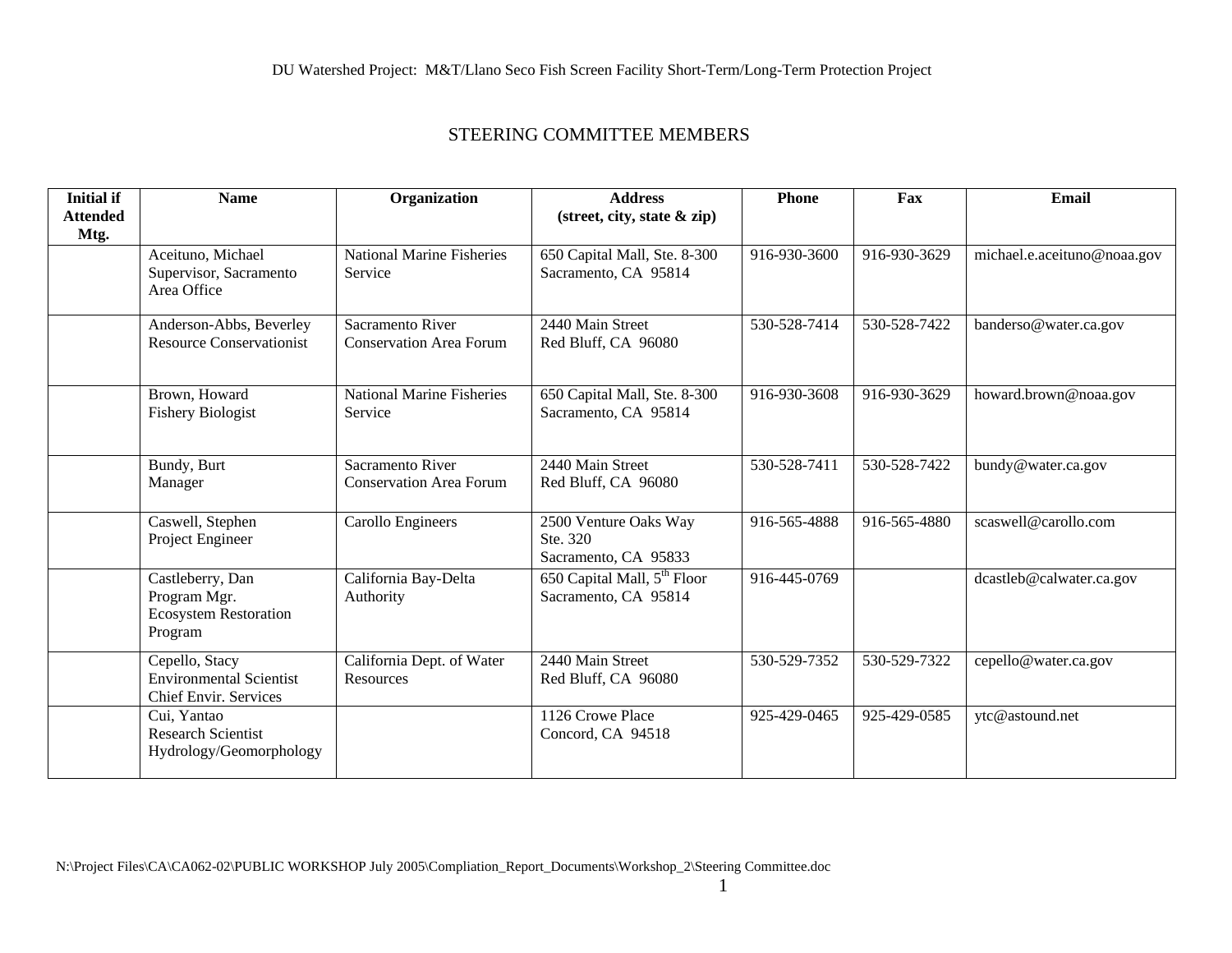| <b>Initial if</b><br><b>Attended</b><br>Mtg. | <b>Name</b>                                                                 | Organization                                       | <b>Address</b><br>(street, city, state & zip)                   | <b>Phone</b> | Fax          | Email                       |
|----------------------------------------------|-----------------------------------------------------------------------------|----------------------------------------------------|-----------------------------------------------------------------|--------------|--------------|-----------------------------|
|                                              | Aceituno, Michael<br>Supervisor, Sacramento<br>Area Office                  | <b>National Marine Fisheries</b><br>Service        | 650 Capital Mall, Ste. 8-300<br>Sacramento, CA 95814            | 916-930-3600 | 916-930-3629 | michael.e.aceituno@noaa.gov |
|                                              | Anderson-Abbs, Beverley<br><b>Resource Conservationist</b>                  | Sacramento River<br><b>Conservation Area Forum</b> | 2440 Main Street<br>Red Bluff, CA 96080                         | 530-528-7414 | 530-528-7422 | banderso@water.ca.gov       |
|                                              | Brown, Howard<br><b>Fishery Biologist</b>                                   | <b>National Marine Fisheries</b><br>Service        | 650 Capital Mall, Ste. 8-300<br>Sacramento, CA 95814            | 916-930-3608 | 916-930-3629 | howard.brown@noaa.gov       |
|                                              | Bundy, Burt<br>Manager                                                      | Sacramento River<br><b>Conservation Area Forum</b> | 2440 Main Street<br>Red Bluff, CA 96080                         | 530-528-7411 | 530-528-7422 | bundy@water.ca.gov          |
|                                              | Caswell, Stephen<br>Project Engineer                                        | Carollo Engineers                                  | 2500 Venture Oaks Way<br>Ste. 320<br>Sacramento, CA 95833       | 916-565-4888 | 916-565-4880 | scaswell@carollo.com        |
|                                              | Castleberry, Dan<br>Program Mgr.<br><b>Ecosystem Restoration</b><br>Program | California Bay-Delta<br>Authority                  | 650 Capital Mall, 5 <sup>th</sup> Floor<br>Sacramento, CA 95814 | 916-445-0769 |              | dcastleb@calwater.ca.gov    |
|                                              | Cepello, Stacy<br><b>Environmental Scientist</b><br>Chief Envir. Services   | California Dept. of Water<br>Resources             | 2440 Main Street<br>Red Bluff, CA 96080                         | 530-529-7352 | 530-529-7322 | cepello@water.ca.gov        |
|                                              | Cui, Yantao<br><b>Research Scientist</b><br>Hydrology/Geomorphology         |                                                    | 1126 Crowe Place<br>Concord, CA 94518                           | 925-429-0465 | 925-429-0585 | ytc@astound.net             |

 $\frac{1}{1}$ 

 $\mathbf{1}$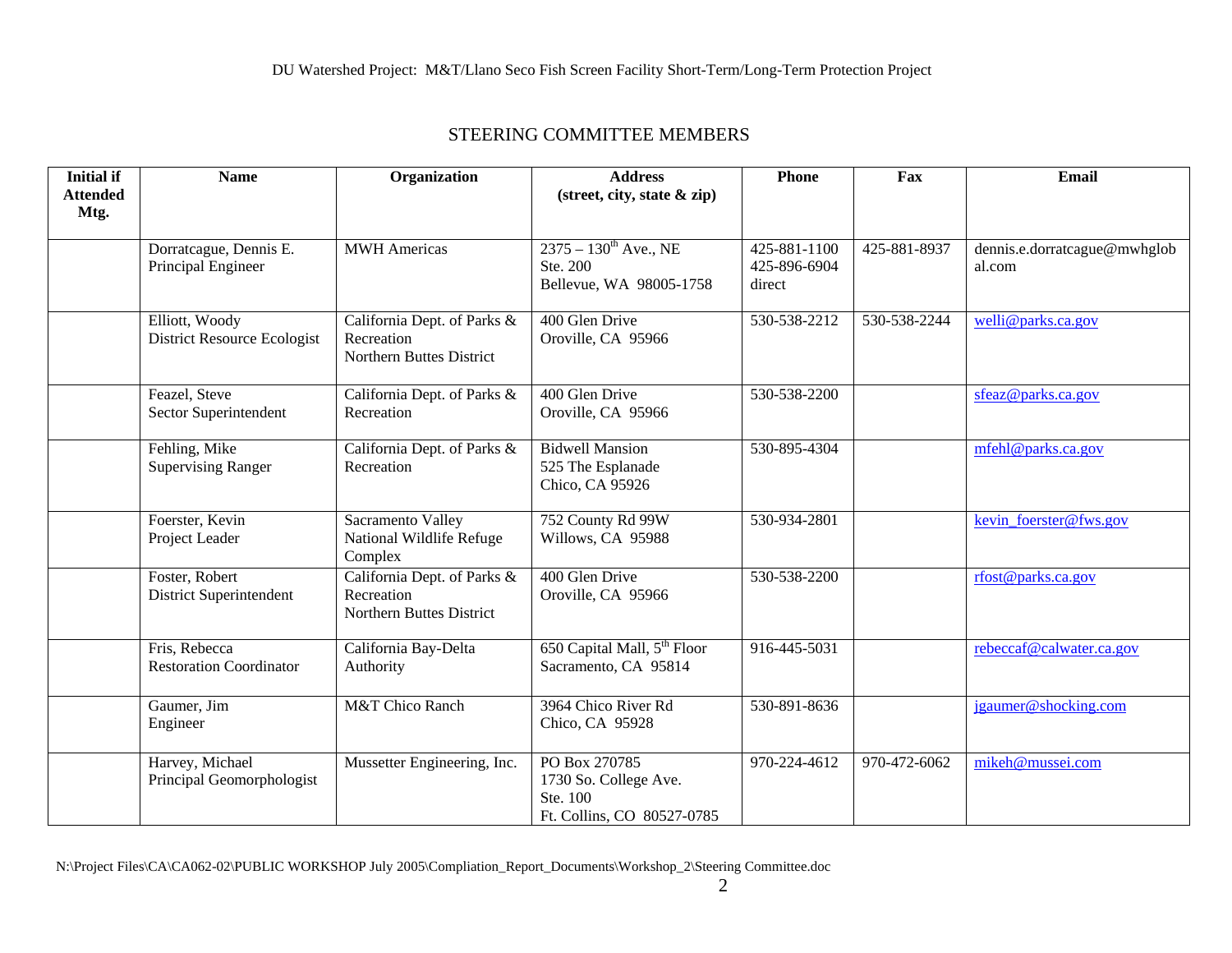| <b>Initial if</b> | <b>Name</b>                                          | Organization                                                          | <b>Address</b>                                                                   | <b>Phone</b>                           | Fax          | Email                                  |
|-------------------|------------------------------------------------------|-----------------------------------------------------------------------|----------------------------------------------------------------------------------|----------------------------------------|--------------|----------------------------------------|
| <b>Attended</b>   |                                                      |                                                                       | (street, city, state & zip)                                                      |                                        |              |                                        |
| Mtg.              |                                                      |                                                                       |                                                                                  |                                        |              |                                        |
|                   | Dorratcague, Dennis E.<br>Principal Engineer         | <b>MWH</b> Americas                                                   | $2375 - 130^{\text{th}}$ Ave., NE<br>Ste. 200<br>Bellevue, WA 98005-1758         | 425-881-1100<br>425-896-6904<br>direct | 425-881-8937 | dennis.e.dorratcague@mwhglob<br>al.com |
|                   | Elliott, Woody<br><b>District Resource Ecologist</b> | California Dept. of Parks &<br>Recreation<br>Northern Buttes District | 400 Glen Drive<br>Oroville, CA 95966                                             | 530-538-2212                           | 530-538-2244 | welli@parks.ca.gov                     |
|                   | Feazel, Steve<br>Sector Superintendent               | California Dept. of Parks &<br>Recreation                             | 400 Glen Drive<br>Oroville, CA 95966                                             | 530-538-2200                           |              | sfeaz@parks.ca.gov                     |
|                   | Fehling, Mike<br><b>Supervising Ranger</b>           | California Dept. of Parks &<br>Recreation                             | <b>Bidwell Mansion</b><br>525 The Esplanade<br>Chico, CA 95926                   | 530-895-4304                           |              | mfehl@parks.ca.gov                     |
|                   | Foerster, Kevin<br>Project Leader                    | Sacramento Valley<br>National Wildlife Refuge<br>Complex              | 752 County Rd 99W<br>Willows, CA 95988                                           | 530-934-2801                           |              | kevin foerster@fws.gov                 |
|                   | Foster, Robert<br>District Superintendent            | California Dept. of Parks &<br>Recreation<br>Northern Buttes District | 400 Glen Drive<br>Oroville, CA 95966                                             | 530-538-2200                           |              | rfost@parks.ca.gov                     |
|                   | Fris, Rebecca<br><b>Restoration Coordinator</b>      | California Bay-Delta<br>Authority                                     | 650 Capital Mall, 5 <sup>th</sup> Floor<br>Sacramento, CA 95814                  | 916-445-5031                           |              | rebeccaf@calwater.ca.gov               |
|                   | Gaumer, Jim<br>Engineer                              | M&T Chico Ranch                                                       | 3964 Chico River Rd<br>Chico, CA 95928                                           | 530-891-8636                           |              | jgaumer@shocking.com                   |
|                   | Harvey, Michael<br>Principal Geomorphologist         | Mussetter Engineering, Inc.                                           | PO Box 270785<br>1730 So. College Ave.<br>Ste. 100<br>Ft. Collins, CO 80527-0785 | 970-224-4612                           | 970-472-6062 | mikeh@mussei.com                       |

N:\Project Files\CA\CA062-02\PUBLIC WORKSHOP July 2005\Compliation\_Report\_Documents\Workshop\_2\Steering Committee.doc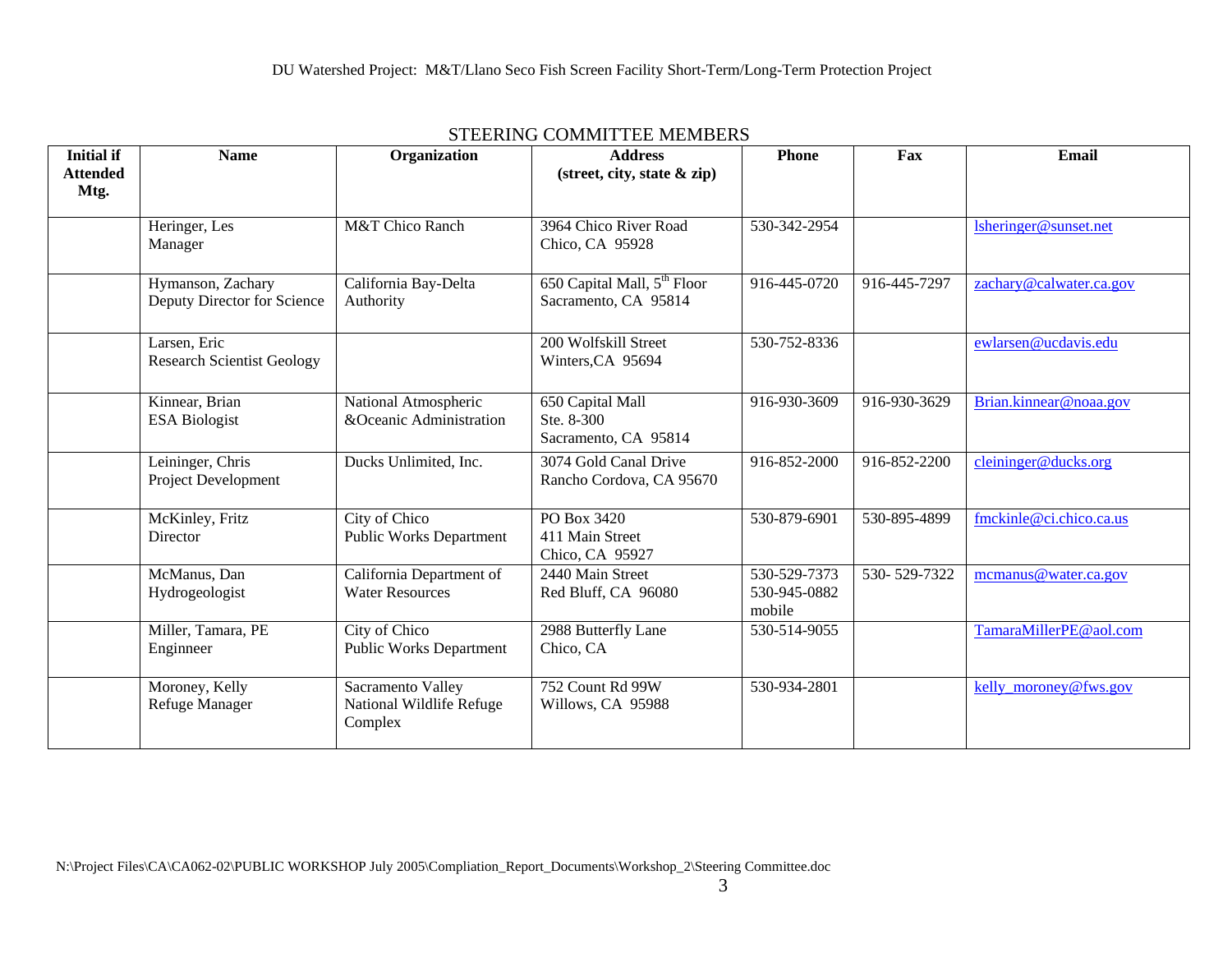| <b>Initial if</b><br><b>Attended</b> | <b>Name</b>                                       | Organization                                             | <b>Address</b><br>$(\text{street}, \text{city}, \text{state} \& \text{zip})$ | <b>Phone</b>                           | Fax          | Email                   |
|--------------------------------------|---------------------------------------------------|----------------------------------------------------------|------------------------------------------------------------------------------|----------------------------------------|--------------|-------------------------|
| Mtg.                                 |                                                   |                                                          |                                                                              |                                        |              |                         |
|                                      | Heringer, Les<br>Manager                          | M&T Chico Ranch                                          | 3964 Chico River Road<br>Chico, CA 95928                                     | 530-342-2954                           |              | lsheringer@sunset.net   |
|                                      | Hymanson, Zachary<br>Deputy Director for Science  | California Bay-Delta<br>Authority                        | 650 Capital Mall, 5 <sup>th</sup> Floor<br>Sacramento, CA 95814              | 916-445-0720                           | 916-445-7297 | zachary@calwater.ca.gov |
|                                      | Larsen, Eric<br><b>Research Scientist Geology</b> |                                                          | 200 Wolfskill Street<br>Winters, CA 95694                                    | 530-752-8336                           |              | ewlarsen@ucdavis.edu    |
|                                      | Kinnear, Brian<br><b>ESA Biologist</b>            | National Atmospheric<br>&Oceanic Administration          | 650 Capital Mall<br>Ste. 8-300<br>Sacramento, CA 95814                       | 916-930-3609                           | 916-930-3629 | Brian.kinnear@noaa.gov  |
|                                      | Leininger, Chris<br>Project Development           | Ducks Unlimited, Inc.                                    | 3074 Gold Canal Drive<br>Rancho Cordova, CA 95670                            | 916-852-2000                           | 916-852-2200 | cleininger@ducks.org    |
|                                      | McKinley, Fritz<br>Director                       | City of Chico<br><b>Public Works Department</b>          | PO Box 3420<br>411 Main Street<br>Chico, CA 95927                            | 530-879-6901                           | 530-895-4899 | fmckinle@ci.chico.ca.us |
|                                      | McManus, Dan<br>Hydrogeologist                    | California Department of<br><b>Water Resources</b>       | 2440 Main Street<br>Red Bluff, CA 96080                                      | 530-529-7373<br>530-945-0882<br>mobile | 530-529-7322 | mcmanus@water.ca.gov    |
|                                      | Miller, Tamara, PE<br>Enginneer                   | City of Chico<br><b>Public Works Department</b>          | 2988 Butterfly Lane<br>Chico, CA                                             | 530-514-9055                           |              | TamaraMillerPE@aol.com  |
|                                      | Moroney, Kelly<br>Refuge Manager                  | Sacramento Valley<br>National Wildlife Refuge<br>Complex | 752 Count Rd 99W<br>Willows, CA 95988                                        | 530-934-2801                           |              | kelly moroney@fws.gov   |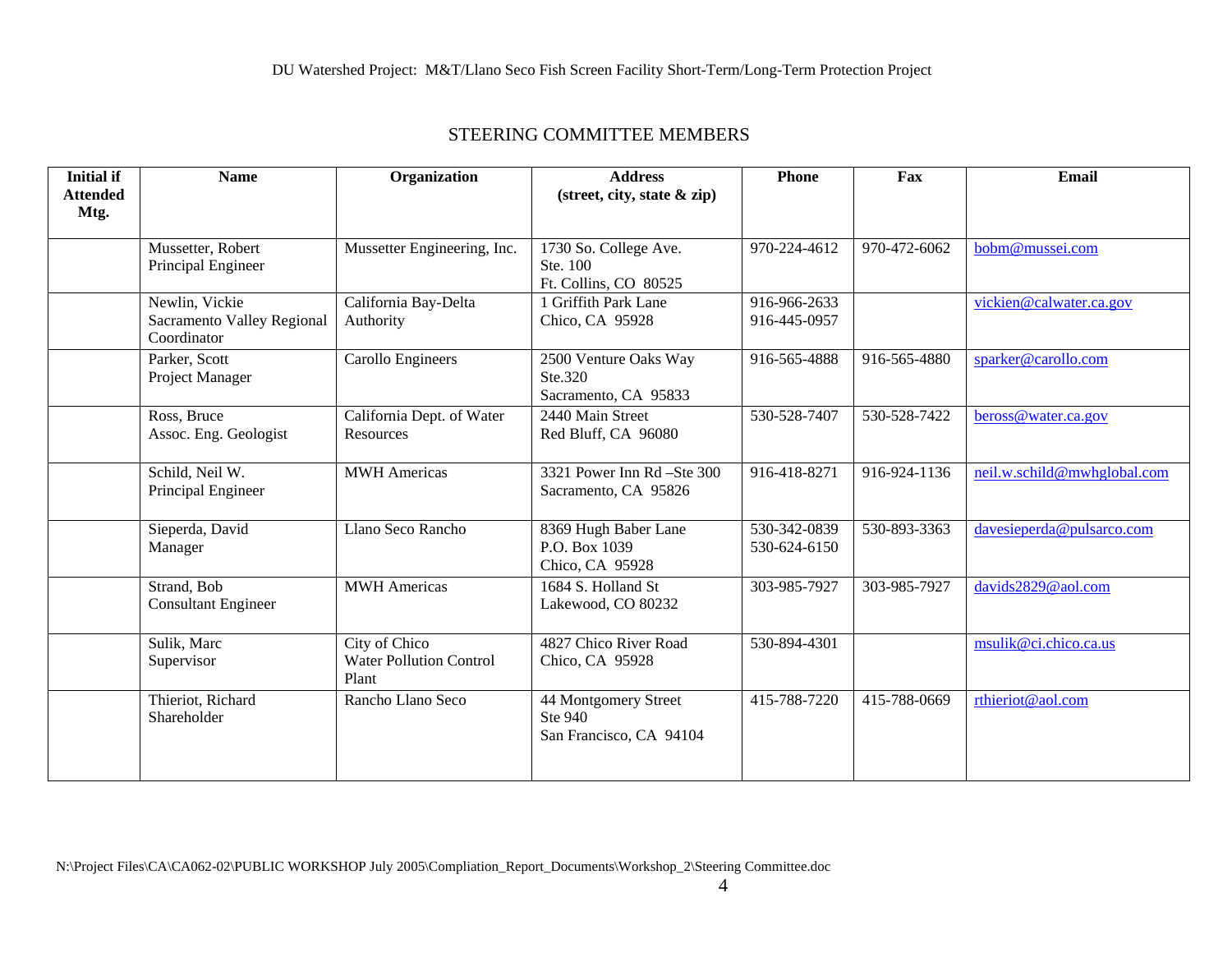| <b>Initial if</b>       | <b>Name</b>                                                 | Organization                                             | <b>Address</b>                                             | <b>Phone</b>                 | Fax          | Email                       |
|-------------------------|-------------------------------------------------------------|----------------------------------------------------------|------------------------------------------------------------|------------------------------|--------------|-----------------------------|
| <b>Attended</b><br>Mtg. |                                                             |                                                          | (street, city, state & zip)                                |                              |              |                             |
|                         | Mussetter, Robert<br>Principal Engineer                     | Mussetter Engineering, Inc.                              | 1730 So. College Ave.<br>Ste. 100<br>Ft. Collins, CO 80525 | 970-224-4612                 | 970-472-6062 | bobm@mussei.com             |
|                         | Newlin, Vickie<br>Sacramento Valley Regional<br>Coordinator | California Bay-Delta<br>Authority                        | 1 Griffith Park Lane<br>Chico, CA 95928                    | 916-966-2633<br>916-445-0957 |              | vickien@calwater.ca.gov     |
|                         | Parker, Scott<br>Project Manager                            | Carollo Engineers                                        | 2500 Venture Oaks Way<br>Ste.320<br>Sacramento, CA 95833   | 916-565-4888                 | 916-565-4880 | sparker@carollo.com         |
|                         | Ross, Bruce<br>Assoc. Eng. Geologist                        | California Dept. of Water<br>Resources                   | 2440 Main Street<br>Red Bluff, CA 96080                    | 530-528-7407                 | 530-528-7422 | beross@water.ca.gov         |
|                         | Schild, Neil W.<br>Principal Engineer                       | <b>MWH</b> Americas                                      | 3321 Power Inn Rd -Ste 300<br>Sacramento, CA 95826         | 916-418-8271                 | 916-924-1136 | neil.w.schild@mwhglobal.com |
|                         | Sieperda, David<br>Manager                                  | Llano Seco Rancho                                        | 8369 Hugh Baber Lane<br>P.O. Box 1039<br>Chico, CA 95928   | 530-342-0839<br>530-624-6150 | 530-893-3363 | davesieperda@pulsarco.com   |
|                         | Strand, Bob<br><b>Consultant Engineer</b>                   | <b>MWH</b> Americas                                      | 1684 S. Holland St<br>Lakewood, CO 80232                   | 303-985-7927                 | 303-985-7927 | davids2829@aol.com          |
|                         | Sulik, Marc<br>Supervisor                                   | City of Chico<br><b>Water Pollution Control</b><br>Plant | 4827 Chico River Road<br>Chico, CA 95928                   | 530-894-4301                 |              | msulik@ci.chico.ca.us       |
|                         | Thieriot, Richard<br>Shareholder                            | Rancho Llano Seco                                        | 44 Montgomery Street<br>Ste 940<br>San Francisco, CA 94104 | 415-788-7220                 | 415-788-0669 | rthieriot@aol.com           |